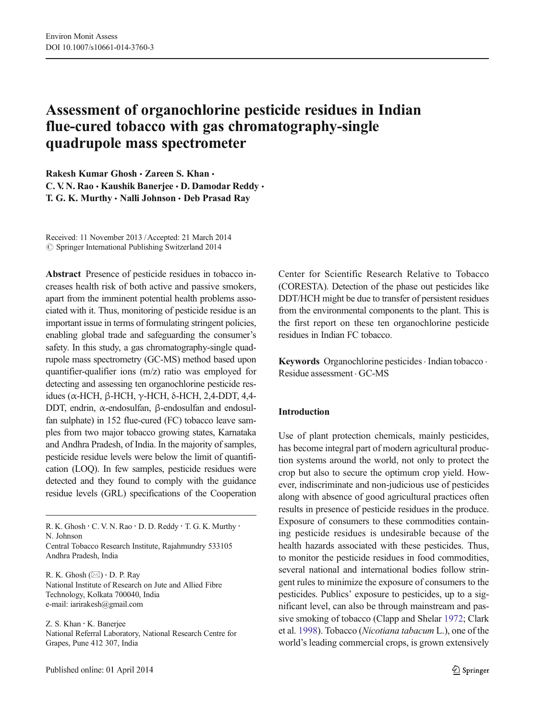# Assessment of organochlorine pesticide residues in Indian flue-cured tobacco with gas chromatography-single quadrupole mass spectrometer

Rakesh Kumar Ghosh · Zareen S. Khan · C. V. N. Rao · Kaushik Banerjee · D. Damodar Reddy · T. G. K. Murthy · Nalli Johnson · Deb Prasad Ray

Received: 11 November 2013 /Accepted: 21 March 2014  $\circ$  Springer International Publishing Switzerland 2014

Abstract Presence of pesticide residues in tobacco increases health risk of both active and passive smokers, apart from the imminent potential health problems associated with it. Thus, monitoring of pesticide residue is an important issue in terms of formulating stringent policies, enabling global trade and safeguarding the consumer's safety. In this study, a gas chromatography-single quadrupole mass spectrometry (GC-MS) method based upon quantifier-qualifier ions (m/z) ratio was employed for detecting and assessing ten organochlorine pesticide residues (α-HCH, β-HCH, γ-HCH, δ-HCH, 2,4-DDT, 4,4- DDT, endrin, α-endosulfan, β-endosulfan and endosulfan sulphate) in 152 flue-cured (FC) tobacco leave samples from two major tobacco growing states, Karnataka and Andhra Pradesh, of India. In the majority of samples, pesticide residue levels were below the limit of quantification (LOQ). In few samples, pesticide residues were detected and they found to comply with the guidance residue levels (GRL) specifications of the Cooperation

R. K. Ghosh  $(\boxtimes) \cdot$  D. P. Ray National Institute of Research on Jute and Allied Fibre Technology, Kolkata 700040, India e-mail: iarirakesh@gmail.com

Z. S. Khan : K. Banerjee National Referral Laboratory, National Research Centre for Grapes, Pune 412 307, India

Center for Scientific Research Relative to Tobacco (CORESTA). Detection of the phase out pesticides like DDT/HCH might be due to transfer of persistent residues from the environmental components to the plant. This is the first report on these ten organochlorine pesticide residues in Indian FC tobacco.

Keywords Organochlorine pesticides · Indian tobacco · Residue assessment . GC-MS

# Introduction

Use of plant protection chemicals, mainly pesticides, has become integral part of modern agricultural production systems around the world, not only to protect the crop but also to secure the optimum crop yield. However, indiscriminate and non-judicious use of pesticides along with absence of good agricultural practices often results in presence of pesticide residues in the produce. Exposure of consumers to these commodities containing pesticide residues is undesirable because of the health hazards associated with these pesticides. Thus, to monitor the pesticide residues in food commodities, several national and international bodies follow stringent rules to minimize the exposure of consumers to the pesticides. Publics' exposure to pesticides, up to a significant level, can also be through mainstream and passive smoking of tobacco (Clapp and Shelar [1972;](#page-6-0) Clark et al. [1998\)](#page-6-0). Tobacco (Nicotiana tabacum L.), one of the world's leading commercial crops, is grown extensively

R. K. Ghosh · C. V. N. Rao · D. D. Reddy · T. G. K. Murthy · N. Johnson

Central Tobacco Research Institute, Rajahmundry 533105 Andhra Pradesh, India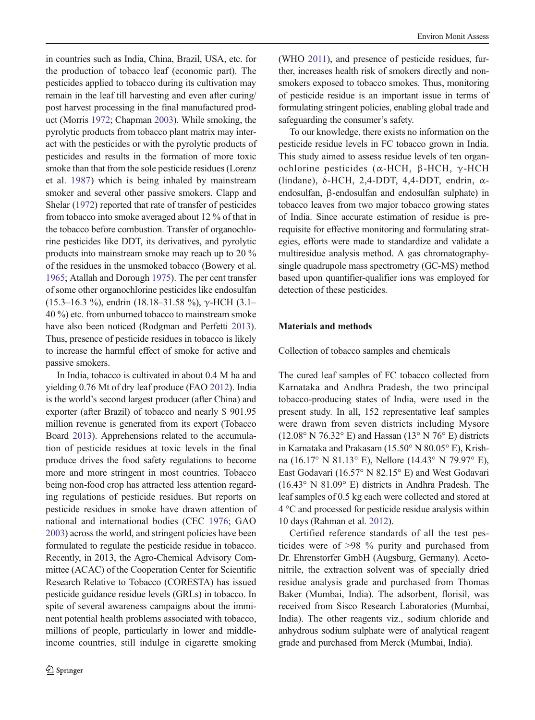in countries such as India, China, Brazil, USA, etc. for the production of tobacco leaf (economic part). The pesticides applied to tobacco during its cultivation may remain in the leaf till harvesting and even after curing/ post harvest processing in the final manufactured product (Morris [1972;](#page-6-0) Chapman [2003](#page-6-0)). While smoking, the pyrolytic products from tobacco plant matrix may interact with the pesticides or with the pyrolytic products of pesticides and results in the formation of more toxic smoke than that from the sole pesticide residues (Lorenz et al. [1987\)](#page-6-0) which is being inhaled by mainstream smoker and several other passive smokers. Clapp and Shelar [\(1972\)](#page-6-0) reported that rate of transfer of pesticides from tobacco into smoke averaged about 12 % of that in the tobacco before combustion. Transfer of organochlorine pesticides like DDT, its derivatives, and pyrolytic products into mainstream smoke may reach up to 20 % of the residues in the unsmoked tobacco (Bowery et al. [1965](#page-6-0); Atallah and Dorough [1975\)](#page-6-0). The per cent transfer of some other organochlorine pesticides like endosulfan (15.3–16.3 %), endrin (18.18–31.58 %),  $\gamma$ -HCH (3.1– 40 %) etc. from unburned tobacco to mainstream smoke have also been noticed (Rodgman and Perfetti [2013\)](#page-6-0). Thus, presence of pesticide residues in tobacco is likely to increase the harmful effect of smoke for active and passive smokers.

In India, tobacco is cultivated in about 0.4 M ha and yielding 0.76 Mt of dry leaf produce (FAO [2012](#page-6-0)). India is the world's second largest producer (after China) and exporter (after Brazil) of tobacco and nearly \$ 901.95 million revenue is generated from its export (Tobacco Board [2013\)](#page-6-0). Apprehensions related to the accumulation of pesticide residues at toxic levels in the final produce drives the food safety regulations to become more and more stringent in most countries. Tobacco being non-food crop has attracted less attention regarding regulations of pesticide residues. But reports on pesticide residues in smoke have drawn attention of national and international bodies (CEC [1976;](#page-6-0) GAO [2003](#page-6-0)) across the world, and stringent policies have been formulated to regulate the pesticide residue in tobacco. Recently, in 2013, the Agro-Chemical Advisory Committee (ACAC) of the Cooperation Center for Scientific Research Relative to Tobacco (CORESTA) has issued pesticide guidance residue levels (GRLs) in tobacco. In spite of several awareness campaigns about the imminent potential health problems associated with tobacco, millions of people, particularly in lower and middleincome countries, still indulge in cigarette smoking (WHO [2011](#page-6-0)), and presence of pesticide residues, further, increases health risk of smokers directly and nonsmokers exposed to tobacco smokes. Thus, monitoring of pesticide residue is an important issue in terms of formulating stringent policies, enabling global trade and safeguarding the consumer's safety.

To our knowledge, there exists no information on the pesticide residue levels in FC tobacco grown in India. This study aimed to assess residue levels of ten organochlorine pesticides (α-HCH, β-HCH, γ-HCH (lindane), δ-HCH, 2,4-DDT, 4,4-DDT, endrin, αendosulfan, β-endosulfan and endosulfan sulphate) in tobacco leaves from two major tobacco growing states of India. Since accurate estimation of residue is prerequisite for effective monitoring and formulating strategies, efforts were made to standardize and validate a multiresidue analysis method. A gas chromatographysingle quadrupole mass spectrometry (GC-MS) method based upon quantifier-qualifier ions was employed for detection of these pesticides.

## Materials and methods

Collection of tobacco samples and chemicals

The cured leaf samples of FC tobacco collected from Karnataka and Andhra Pradesh, the two principal tobacco-producing states of India, were used in the present study. In all, 152 representative leaf samples were drawn from seven districts including Mysore  $(12.08° \text{ N } 76.32° \text{ E})$  and Hassan  $(13° \text{ N } 76° \text{ E})$  districts in Karnataka and Prakasam (15.50° N 80.05° E), Krishna (16.17° N 81.13° E), Nellore (14.43° N 79.97° E), East Godavari (16.57° N 82.15° E) and West Godavari (16.43° N 81.09° E) districts in Andhra Pradesh. The leaf samples of 0.5 kg each were collected and stored at 4 °C and processed for pesticide residue analysis within 10 days (Rahman et al. [2012](#page-6-0)).

Certified reference standards of all the test pesticides were of >98 % purity and purchased from Dr. Ehrenstorfer GmbH (Augsburg, Germany). Acetonitrile, the extraction solvent was of specially dried residue analysis grade and purchased from Thomas Baker (Mumbai, India). The adsorbent, florisil, was received from Sisco Research Laboratories (Mumbai, India). The other reagents viz., sodium chloride and anhydrous sodium sulphate were of analytical reagent grade and purchased from Merck (Mumbai, India).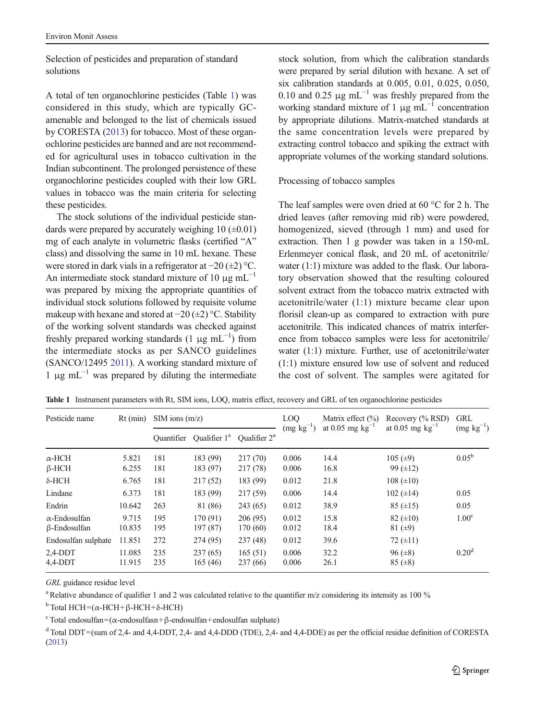<span id="page-2-0"></span>Selection of pesticides and preparation of standard solutions

A total of ten organochlorine pesticides (Table 1) was considered in this study, which are typically GCamenable and belonged to the list of chemicals issued by CORESTA [\(2013\)](#page-6-0) for tobacco. Most of these organochlorine pesticides are banned and are not recommended for agricultural uses in tobacco cultivation in the Indian subcontinent. The prolonged persistence of these organochlorine pesticides coupled with their low GRL values in tobacco was the main criteria for selecting these pesticides.

The stock solutions of the individual pesticide standards were prepared by accurately weighing  $10 \ (\pm 0.01)$ mg of each analyte in volumetric flasks (certified "A" class) and dissolving the same in 10 mL hexane. These were stored in dark vials in a refrigerator at −20 (±2) °C. An intermediate stock standard mixture of 10  $\mu$ g mL<sup>-1</sup> was prepared by mixing the appropriate quantities of individual stock solutions followed by requisite volume makeup with hexane and stored at −20 (±2) °C. Stability of the working solvent standards was checked against freshly prepared working standards  $(1 \mu g m L^{-1})$  from the intermediate stocks as per SANCO guidelines (SANCO/12495 [2011](#page-6-0)). A working standard mixture of  $1 \mu$ g mL<sup>-1</sup> was prepared by diluting the intermediate

stock solution, from which the calibration standards were prepared by serial dilution with hexane. A set of six calibration standards at 0.005, 0.01, 0.025, 0.050, 0.10 and 0.25  $\mu$ g mL<sup>-1</sup> was freshly prepared from the working standard mixture of 1  $\mu$ g mL<sup>-1</sup> concentration by appropriate dilutions. Matrix-matched standards at the same concentration levels were prepared by extracting control tobacco and spiking the extract with appropriate volumes of the working standard solutions.

### Processing of tobacco samples

The leaf samples were oven dried at 60 °C for 2 h. The dried leaves (after removing mid rib) were powdered, homogenized, sieved (through 1 mm) and used for extraction. Then 1 g powder was taken in a 150-mL Erlenmeyer conical flask, and 20 mL of acetonitrile/ water (1:1) mixture was added to the flask. Our laboratory observation showed that the resulting coloured solvent extract from the tobacco matrix extracted with acetonitrile/water (1:1) mixture became clear upon florisil clean-up as compared to extraction with pure acetonitrile. This indicated chances of matrix interference from tobacco samples were less for acetonitrile/ water (1:1) mixture. Further, use of acetonitrile/water (1:1) mixture ensured low use of solvent and reduced the cost of solvent. The samples were agitated for

| Pesticide name                              | $Rt$ (min)       | $SIM$ ions $(m/z)$ |                          |                      | LOO<br>$(mg kg^{-1})$ | Matrix effect $(\% )$<br>at 0.05 mg $kg^{-1}$ | Recovery (% RSD)<br>at 0.05 mg $kg^{-1}$ | <b>GRL</b>        |
|---------------------------------------------|------------------|--------------------|--------------------------|----------------------|-----------------------|-----------------------------------------------|------------------------------------------|-------------------|
|                                             |                  | <b>Ouantifier</b>  | Qualifier 1 <sup>a</sup> | Oualifier $2^a$      |                       |                                               |                                          | $(mg kg^{-1})$    |
| $\alpha$ -HCH<br>$\beta$ -HCH               | 5.821<br>6.255   | 181<br>181         | 183 (99)<br>183 (97)     | 217 (70)<br>217 (78) | 0.006<br>0.006        | 14.4<br>16.8                                  | 105 $(\pm 9)$<br>99 $(\pm 12)$           | $0.05^{\rm b}$    |
| $\delta$ -HCH                               | 6.765            | 181                | 217(52)                  | 183 (99)             | 0.012                 | 21.8                                          | $108 (\pm 10)$                           |                   |
| Lindane                                     | 6.373            | 181                | 183 (99)                 | 217 (59)             | 0.006                 | 14.4                                          | 102 $(\pm 14)$                           | 0.05              |
| Endrin                                      | 10.642           | 263                | 81 (86)                  | 243(65)              | 0.012                 | 38.9                                          | $85 (\pm 15)$                            | 0.05              |
| $\alpha$ -Endosulfan<br>$\beta$ -Endosulfan | 9.715<br>10.835  | 195<br>195         | 170 (91)<br>197 (87)     | 206(95)<br>170 (60)  | 0.012<br>0.012        | 15.8<br>18.4                                  | $82 (\pm 10)$<br>81 $(±9)$               | 1.00 <sup>c</sup> |
| Endosulfan sulphate                         | 11.851           | 272                | 274 (95)                 | 237(48)              | 0.012                 | 39.6                                          | 72 $(\pm 11)$                            |                   |
| $2,4$ -DDT<br>$4,4-DDT$                     | 11.085<br>11.915 | 235<br>235         | 237(65)<br>165(46)       | 165(51)<br>237 (66)  | 0.006<br>0.006        | 32.2<br>26.1                                  | $96 (\pm 8)$<br>$85 (\pm 8)$             | 0.20 <sup>d</sup> |

Table 1 Instrument parameters with Rt, SIM ions, LOQ, matrix effect, recovery and GRL of ten organochlorine pesticides

GRL guidance residue level

<sup>a</sup> Relative abundance of qualifier 1 and 2 was calculated relative to the quantifier m/z considering its intensity as 100 %

 $<sup>b</sup>$  Total HCH=( $α$ -HCH+ $β$ -HCH+ $δ$ -HCH)</sup>

 $\text{c}$  Total endosulfan=(α-endosulfasn+β-endosulfan+endosulfan sulphate)

<sup>d</sup> Total DDT=(sum of 2,4- and 4,4-DDT, 2,4- and 4,4-DDD (TDE), 2,4- and 4,4-DDE) as per the official residue definition of CORESTA [\(2013\)](#page-6-0)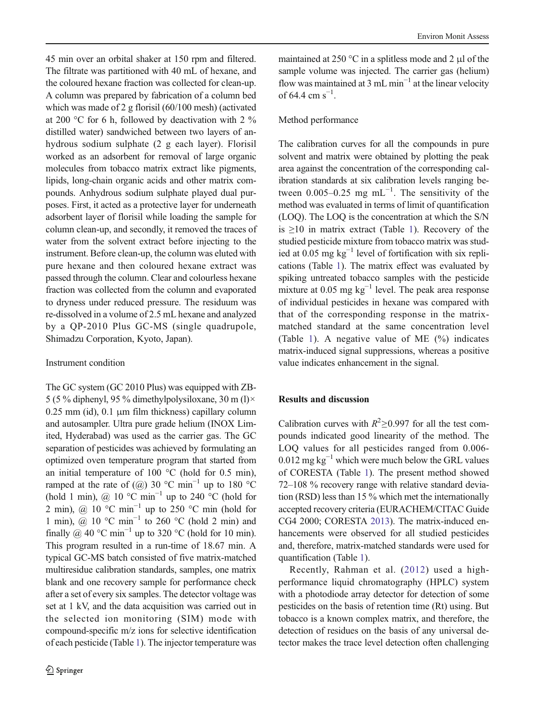45 min over an orbital shaker at 150 rpm and filtered. The filtrate was partitioned with 40 mL of hexane, and the coloured hexane fraction was collected for clean-up. A column was prepared by fabrication of a column bed which was made of 2 g florisil (60/100 mesh) (activated at 200 °C for 6 h, followed by deactivation with 2 % distilled water) sandwiched between two layers of anhydrous sodium sulphate (2 g each layer). Florisil worked as an adsorbent for removal of large organic molecules from tobacco matrix extract like pigments, lipids, long-chain organic acids and other matrix compounds. Anhydrous sodium sulphate played dual purposes. First, it acted as a protective layer for underneath adsorbent layer of florisil while loading the sample for column clean-up, and secondly, it removed the traces of water from the solvent extract before injecting to the instrument. Before clean-up, the column was eluted with pure hexane and then coloured hexane extract was passed through the column. Clear and colourless hexane fraction was collected from the column and evaporated to dryness under reduced pressure. The residuum was re-dissolved in a volume of 2.5 mL hexane and analyzed by a QP-2010 Plus GC-MS (single quadrupole, Shimadzu Corporation, Kyoto, Japan).

## Instrument condition

The GC system (GC 2010 Plus) was equipped with ZB-5 (5 % diphenyl, 95 % dimethylpolysiloxane, 30 m (l) $\times$ 0.25 mm (id), 0.1 μm film thickness) capillary column and autosampler. Ultra pure grade helium (INOX Limited, Hyderabad) was used as the carrier gas. The GC separation of pesticides was achieved by formulating an optimized oven temperature program that started from an initial temperature of 100  $^{\circ}$ C (hold for 0.5 min), ramped at the rate of  $(Q)$  30 °C min<sup>-1</sup> up to 180 °C (hold 1 min), @ 10 °C min<sup>-1</sup> up to 240 °C (hold for 2 min), @  $10^{\circ}$ C min<sup>-1</sup> up to 250 °C min (hold for 1 min), @ 10 °C min<sup>-1</sup> to 260 °C (hold 2 min) and finally @ 40 °C min<sup>-1</sup> up to 320 °C (hold for 10 min). This program resulted in a run-time of 18.67 min. A typical GC-MS batch consisted of five matrix-matched multiresidue calibration standards, samples, one matrix blank and one recovery sample for performance check after a set of every six samples. The detector voltage was set at 1 kV, and the data acquisition was carried out in the selected ion monitoring (SIM) mode with compound-specific m/z ions for selective identification of each pesticide (Table [1\)](#page-2-0). The injector temperature was

maintained at 250 °C in a splitless mode and 2 μl of the sample volume was injected. The carrier gas (helium) flow was maintained at 3 mL min<sup>-1</sup> at the linear velocity of 64.4 cm  $s^{-1}$ .

# Method performance

The calibration curves for all the compounds in pure solvent and matrix were obtained by plotting the peak area against the concentration of the corresponding calibration standards at six calibration levels ranging between  $0.005-0.25$  mg mL<sup>-1</sup>. The sensitivity of the method was evaluated in terms of limit of quantification (LOQ). The LOQ is the concentration at which the S/N is  $\geq 10$  $\geq 10$  $\geq 10$  in matrix extract (Table 1). Recovery of the studied pesticide mixture from tobacco matrix was studied at 0.05 mg  $kg^{-1}$  level of fortification with six replications (Table [1\)](#page-2-0). The matrix effect was evaluated by spiking untreated tobacco samples with the pesticide mixture at 0.05 mg kg−<sup>1</sup> level. The peak area response of individual pesticides in hexane was compared with that of the corresponding response in the matrixmatched standard at the same concentration level (Table [1\)](#page-2-0). A negative value of ME (%) indicates matrix-induced signal suppressions, whereas a positive value indicates enhancement in the signal.

# Results and discussion

Calibration curves with  $R^2 \ge 0.997$  for all the test compounds indicated good linearity of the method. The LOQ values for all pesticides ranged from 0.006- 0.012 mg kg<sup> $-1$ </sup> which were much below the GRL values of CORESTA (Table [1\)](#page-2-0). The present method showed 72–108 % recovery range with relative standard deviation (RSD) less than 15 % which met the internationally accepted recovery criteria (EURACHEM/CITAC Guide CG4 2000; CORESTA [2013\)](#page-6-0). The matrix-induced enhancements were observed for all studied pesticides and, therefore, matrix-matched standards were used for quantification (Table [1](#page-2-0)).

Recently, Rahman et al. ([2012](#page-6-0)) used a highperformance liquid chromatography (HPLC) system with a photodiode array detector for detection of some pesticides on the basis of retention time (Rt) using. But tobacco is a known complex matrix, and therefore, the detection of residues on the basis of any universal detector makes the trace level detection often challenging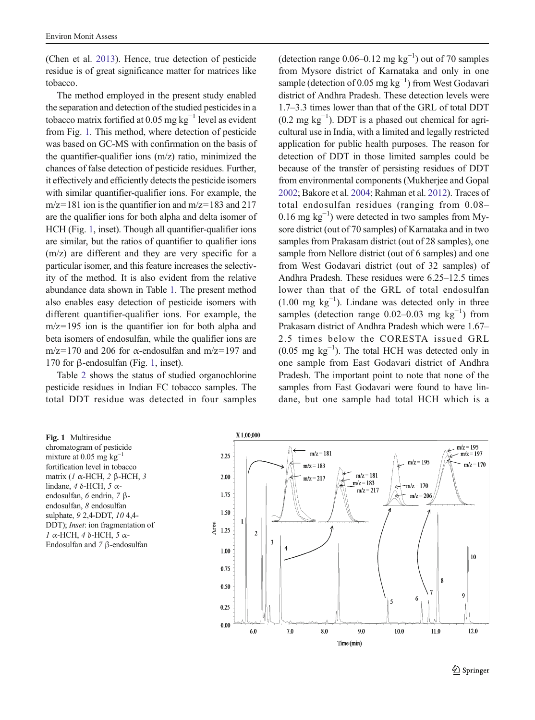(Chen et al. [2013\)](#page-6-0). Hence, true detection of pesticide residue is of great significance matter for matrices like tobacco.

The method employed in the present study enabled the separation and detection of the studied pesticides in a tobacco matrix fortified at 0.05 mg  $kg^{-1}$  level as evident from Fig. 1. This method, where detection of pesticide was based on GC-MS with confirmation on the basis of the quantifier-qualifier ions  $(m/z)$  ratio, minimized the chances of false detection of pesticide residues. Further, it effectively and efficiently detects the pesticide isomers with similar quantifier-qualifier ions. For example, the  $m/z=181$  ion is the quantifier ion and  $m/z=183$  and 217 are the qualifier ions for both alpha and delta isomer of HCH (Fig. 1, inset). Though all quantifier-qualifier ions are similar, but the ratios of quantifier to qualifier ions (m/z) are different and they are very specific for a particular isomer, and this feature increases the selectivity of the method. It is also evident from the relative abundance data shown in Table [1.](#page-2-0) The present method also enables easy detection of pesticide isomers with different quantifier-qualifier ions. For example, the m/z=195 ion is the quantifier ion for both alpha and beta isomers of endosulfan, while the qualifier ions are m/z=170 and 206 for  $\alpha$ -endosulfan and m/z=197 and 170 for β-endosulfan (Fig. 1, inset).

Table [2](#page-5-0) shows the status of studied organochlorine pesticide residues in Indian FC tobacco samples. The total DDT residue was detected in four samples

(detection range  $0.06-0.12$  mg kg<sup>-1</sup>) out of 70 samples from Mysore district of Karnataka and only in one sample (detection of 0.05 mg  $kg^{-1}$ ) from West Godavari district of Andhra Pradesh. These detection levels were 1.7–3.3 times lower than that of the GRL of total DDT (0.2 mg kg−<sup>1</sup> ). DDT is a phased out chemical for agricultural use in India, with a limited and legally restricted application for public health purposes. The reason for detection of DDT in those limited samples could be because of the transfer of persisting residues of DDT from environmental components (Mukherjee and Gopal [2002](#page-6-0); Bakore et al. [2004;](#page-6-0) Rahman et al. [2012](#page-6-0)). Traces of total endosulfan residues (ranging from 0.08– 0.16 mg kg−<sup>1</sup> ) were detected in two samples from Mysore district (out of 70 samples) of Karnataka and in two samples from Prakasam district (out of 28 samples), one sample from Nellore district (out of 6 samples) and one from West Godavari district (out of 32 samples) of Andhra Pradesh. These residues were 6.25–12.5 times lower than that of the GRL of total endosulfan  $(1.00 \text{ mg kg}^{-1})$ . Lindane was detected only in three samples (detection range  $0.02-0.03$  mg kg<sup>-1</sup>) from Prakasam district of Andhra Pradesh which were 1.67– 2.5 times below the CORESTA issued GRL  $(0.05 \text{ mg kg}^{-1})$ . The total HCH was detected only in one sample from East Godavari district of Andhra Pradesh. The important point to note that none of the samples from East Godavari were found to have lindane, but one sample had total HCH which is a

Fig. 1 Multiresidue chromatogram of pesticide mixture at  $0.05$  mg kg<sup>-1</sup> fortification level in tobacco matrix (1 α-HCH, 2 β-HCH, 3 lindane, 4 δ-HCH, 5  $\alpha$ endosulfan, 6 endrin, 7 βendosulfan, 8 endosulfan sulphate, 9 2,4-DDT, 10 4,4- DDT); Inset: ion fragmentation of 1 α-HCH, 4 δ-HCH, 5 α-Endosulfan and 7 β-endosulfan

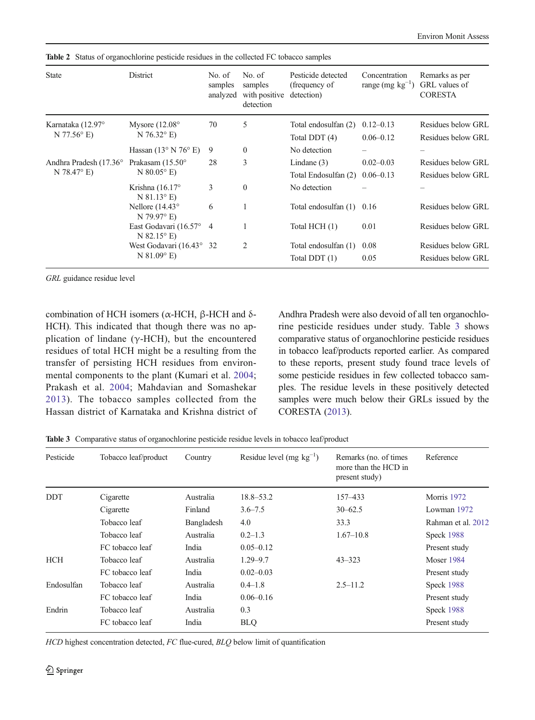| <b>State</b>                                      | District                                                   | No. of<br>samples<br>analyzed | No. of<br>samples<br>with positive<br>detection | Pesticide detected<br>(frequency of<br>detection) | Concentration<br>range (mg $kg^{-1}$ ) | Remarks as per<br>GRL values of<br><b>CORESTA</b> |
|---------------------------------------------------|------------------------------------------------------------|-------------------------------|-------------------------------------------------|---------------------------------------------------|----------------------------------------|---------------------------------------------------|
| Karnataka (12.97°<br>$N 77.56$ ° E)               | Mysore $(12.08^{\circ}$<br>$N$ 76.32 $^{\circ}$ E)         | 70                            | 5                                               | Total endosulfan (2)<br>Total DDT (4)             | $0.12 - 0.13$<br>$0.06 - 0.12$         | Residues below GRL<br>Residues below GRL          |
|                                                   | Hassan $(13^{\circ} N 76^{\circ} E)$                       | 9                             | $\mathbf{0}$                                    | No detection                                      |                                        |                                                   |
| Andhra Pradesh (17.36°<br>$N$ 78.47 $^{\circ}$ E) | Prakasam $(15.50^{\circ}$<br>$N$ 80.05 $^{\circ}$ E)       | 28                            | 3                                               | Lindane $(3)$<br>Total Endosulfan (2)             | $0.02 - 0.03$<br>$0.06 - 0.13$         | Residues below GRL<br>Residues below GRL          |
|                                                   | Krishna $(16.17^{\circ}$<br>$N 81.13^{\circ} E$            | 3                             | $\mathbf{0}$                                    | No detection                                      |                                        |                                                   |
|                                                   | Nellore $(14.43^{\circ}$<br>$N$ 79.97 $\degree$ E)         | 6                             |                                                 | Total endosulfan (1)                              | 0.16                                   | Residues below GRL                                |
|                                                   | East Godavari (16.57°<br>$N$ 82.15 $^{\circ}$ E)           | $\overline{4}$                |                                                 | Total HCH (1)                                     | 0.01                                   | Residues below GRL                                |
|                                                   | West Godavari $(16.43^{\circ})$<br>$N$ 81.09 $^{\circ}$ E) | 32                            | 2                                               | Total endosulfan (1)<br>Total DDT (1)             | 0.08<br>0.05                           | Residues below GRL<br>Residues below GRL          |

<span id="page-5-0"></span>Table 2 Status of organochlorine pesticide residues in the collected FC tobacco samples

GRL guidance residue level

combination of HCH isomers (α-HCH, β-HCH and δ-HCH). This indicated that though there was no application of lindane ( $γ$ -HCH), but the encountered residues of total HCH might be a resulting from the transfer of persisting HCH residues from environmental components to the plant (Kumari et al. [2004](#page-6-0); Prakash et al. [2004;](#page-6-0) Mahdavian and Somashekar [2013](#page-6-0)). The tobacco samples collected from the Hassan district of Karnataka and Krishna district of Andhra Pradesh were also devoid of all ten organochlorine pesticide residues under study. Table 3 shows comparative status of organochlorine pesticide residues in tobacco leaf/products reported earlier. As compared to these reports, present study found trace levels of some pesticide residues in few collected tobacco samples. The residue levels in these positively detected samples were much below their GRLs issued by the CORESTA ([2013](#page-6-0)).

Table 3 Comparative status of organochlorine pesticide residue levels in tobacco leaf/product

| Pesticide  | Tobacco leaf/product | Country    | Residue level (mg $kg^{-1}$ ) | Remarks (no. of times<br>more than the HCD in<br>present study) | Reference          |
|------------|----------------------|------------|-------------------------------|-----------------------------------------------------------------|--------------------|
| <b>DDT</b> | Cigarette            | Australia  | $18.8 - 53.2$                 | 157-433                                                         | <b>Morris</b> 1972 |
|            | Cigarette            | Finland    | $3.6 - 7.5$                   | $30 - 62.5$                                                     | Lowman 1972        |
|            | Tobacco leaf         | Bangladesh | 4.0                           | 33.3                                                            | Rahman et al. 2012 |
|            | Tobacco leaf         | Australia  | $0.2 - 1.3$                   | $1.67 - 10.8$                                                   | Speck 1988         |
|            | FC tobacco leaf      | India      | $0.05 - 0.12$                 |                                                                 | Present study      |
| <b>HCH</b> | Tobacco leaf         | Australia  | $1.29 - 9.7$                  | $43 - 323$                                                      | <b>Moser 1984</b>  |
|            | FC tobacco leaf      | India      | $0.02 - 0.03$                 |                                                                 | Present study      |
| Endosulfan | Tobacco leaf         | Australia  | $0.4 - 1.8$                   | $2.5 - 11.2$                                                    | Speck 1988         |
|            | FC tobacco leaf      | India      | $0.06 - 0.16$                 |                                                                 | Present study      |
| Endrin     | Tobacco leaf         | Australia  | 0.3                           |                                                                 | Speck 1988         |
|            | FC tobacco leaf      | India      | <b>BLQ</b>                    |                                                                 | Present study      |

HCD highest concentration detected, FC flue-cured, BLQ below limit of quantification